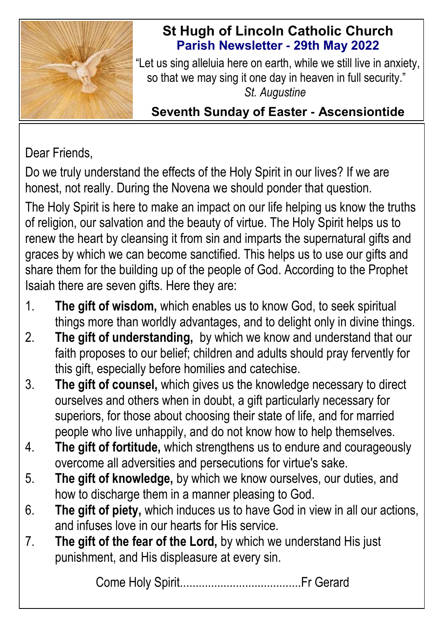

# **St Hugh of Lincoln Catholic Church Parish Newsletter - 29th May 2022**

"Let us sing alleluia here on earth, while we still live in anxiety, so that we may sing it one day in heaven in full security." *St. Augustine* 

# **Seventh Sunday of Easter - Ascensiontide**

# Dear Friends,

Do we truly understand the effects of the Holy Spirit in our lives? If we are honest, not really. During the Novena we should ponder that question.

The Holy Spirit is here to make an impact on our life helping us know the truths of religion, our salvation and the beauty of virtue. The Holy Spirit helps us to renew the heart by cleansing it from sin and imparts the supernatural gifts and graces by which we can become sanctified. This helps us to use our gifts and share them for the building up of the people of God. According to the Prophet Isaiah there are seven gifts. Here they are:

- 1. **The gift of wisdom,** which enables us to know God, to seek spiritual things more than worldly advantages, and to delight only in divine things.
- 2. **The gift of understanding,** by which we know and understand that our faith proposes to our belief; children and adults should pray fervently for this gift, especially before homilies and catechise.
- 3. **The gift of counsel,** which gives us the knowledge necessary to direct ourselves and others when in doubt, a gift particularly necessary for superiors, for those about choosing their state of life, and for married people who live unhappily, and do not know how to help themselves.
- 4. **The gift of fortitude,** which strengthens us to endure and courageously overcome all adversities and persecutions for virtue's sake.
- 5. **The gift of knowledge,** by which we know ourselves, our duties, and how to discharge them in a manner pleasing to God.
- 6. **The gift of piety,** which induces us to have God in view in all our actions, and infuses love in our hearts for His service.
- 7. **The gift of the fear of the Lord,** by which we understand His just punishment, and His displeasure at every sin.

Come Holy Spirit.......................................Fr Gerard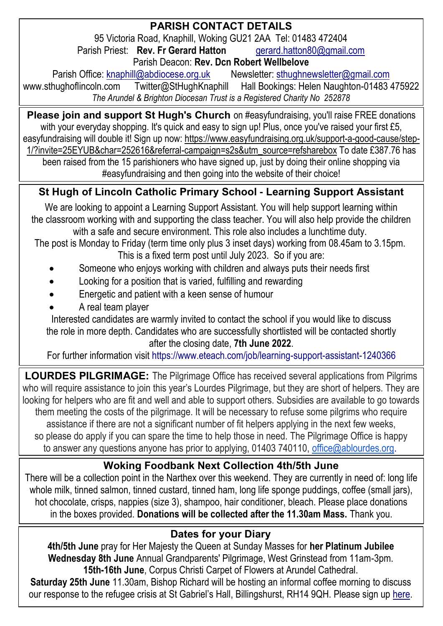## **PARISH CONTACT DETAILS**

95 Victoria Road, Knaphill, Woking GU21 2AA Tel: 01483 472404 Parish Priest: **Rev. Fr Gerard Hatton [gerard.hatton80@gmail.com](mailto:gerard.hatton80@gmail.com)** 

Parish Deacon: **Rev. Dcn Robert Wellbelove**

Parish Office: [knaphill@abdiocese.org.uk](mailto:knaphill@abdiocese.org.uk) Newsletter: [sthughnewsletter@gmail.com](mailto:sthughnewsletter@gmail.com)<br>Aww.sthughoflincoln.com Twitter@StHughKnaphill Hall Bookings: Helen Naughton-01483 Twitter@StHughKnaphill Hall Bookings: Helen Naughton-01483 475922 *The Arundel & Brighton Diocesan Trust is a Registered Charity No 252878*

**Please join and support St Hugh's Church** on #easyfundraising, you'll raise FREE donations with your everyday shopping. It's quick and easy to sign up! Plus, once you've raised your first £5. easyfundraising will double it! Sign up now: [https://www.easyfundraising.org.uk/support-a-good-cause/step-](https://www.easyfundraising.org.uk/support-a-good-cause/step-1/?invite=25EYUB&char=252616&referral-campaign=s2s&utm_source=refsharebox)[1/?invite=25EYUB&char=252616&referral-campaign=s2s&utm\\_source=refsharebox](https://www.easyfundraising.org.uk/support-a-good-cause/step-1/?invite=25EYUB&char=252616&referral-campaign=s2s&utm_source=refsharebox) To date £387.76 has

been raised from the 15 parishioners who have signed up, just by doing their online shopping via #easyfundraising and then going into the website of their choice!

# **St Hugh of Lincoln Catholic Primary School - Learning Support Assistant**

We are looking to appoint a Learning Support Assistant. You will help support learning within the classroom working with and supporting the class teacher. You will also help provide the children with a safe and secure environment. This role also includes a lunchtime duty.

The post is Monday to Friday (term time only plus 3 inset days) working from 08.45am to 3.15pm. This is a fixed term post until July 2023. So if you are:

- Someone who enjoys working with children and always puts their needs first
- Looking for a position that is varied, fulfilling and rewarding
- Energetic and patient with a keen sense of humour
- A real team player

Interested candidates are warmly invited to contact the school if you would like to discuss the role in more depth. Candidates who are successfully shortlisted will be contacted shortly after the closing date, **7th June 2022**.

For further information visit https://www.eteach.com/job/learning-support-assistant-1240366

**LOURDES PILGRIMAGE:** The Pilgrimage Office has received several applications from Pilgrims who will require assistance to join this year's Lourdes Pilgrimage, but they are short of helpers. They are looking for helpers who are fit and well and able to support others. Subsidies are available to go towards them meeting the costs of the pilgrimage. It will be necessary to refuse some pilgrims who require assistance if there are not a significant number of fit helpers applying in the next few weeks, so please do apply if you can spare the time to help those in need. The Pilgrimage Office is happy to answer any questions anyone has prior to applying, 01403 740110, [office@ablourdes.org.](mailto:office@ablourdes.org)

### **Woking Foodbank Next Collection 4th/5th June**

There will be a collection point in the Narthex over this weekend. They are currently in need of: long life whole milk, tinned salmon, tinned custard, tinned ham, long life sponge puddings, coffee (small jars), hot chocolate, crisps, nappies (size 3), shampoo, hair conditioner, bleach. Please place donations in the boxes provided. **Donations will be collected after the 11.30am Mass.** Thank you.

### **Dates for your Diary**

**4th/5th June** pray for Her Majesty the Queen at Sunday Masses for **her Platinum Jubilee Wednesday 8th June** Annual Grandparents' Pilgrimage, West Grinstead from 11am-3pm. **15th-16th June**, Corpus Christi Carpet of Flowers at Arundel Cathedral.

**Saturday 25th June** 11.30am, Bishop Richard will be hosting an informal coffee morning to discuss our response to the refugee crisis at St Gabriel's Hall, Billingshurst, RH14 9QH. P[lease sign up](https://abdiocese.us9.list-manage.com/track/click?u=6ad3715cf61665df736c264a6&id=a067bd4425&e=d2c363f876) here.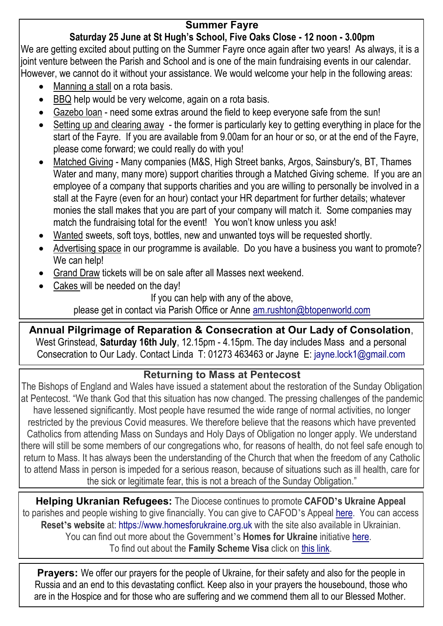#### **Summer Fayre**

#### **Saturday 25 June at St Hugh's School, Five Oaks Close - 12 noon - 3.00pm**

We are getting excited about putting on the Summer Fayre once again after two years! As always, it is a joint venture between the Parish and School and is one of the main fundraising events in our calendar. However, we cannot do it without your assistance. We would welcome your help in the following areas:

- Manning a stall on a rota basis.
- BBQ help would be very welcome, again on a rota basis.
- Gazebo loan need some extras around the field to keep everyone safe from the sun!
- Setting up and clearing away the former is particularly key to getting everything in place for the start of the Fayre. If you are available from 9.00am for an hour or so, or at the end of the Fayre, please come forward; we could really do with you!
- Matched Giving Many companies (M&S, High Street banks, Argos, Sainsbury's, BT, Thames Water and many, many more) support charities through a Matched Giving scheme. If you are an employee of a company that supports charities and you are willing to personally be involved in a stall at the Fayre (even for an hour) contact your HR department for further details; whatever monies the stall makes that you are part of your company will match it. Some companies may match the fundraising total for the event! You won't know unless you ask!
- Wanted sweets, soft toys, bottles, new and unwanted toys will be requested shortly.
- Advertising space in our programme is available. Do you have a business you want to promote? We can help!
- Grand Draw tickets will be on sale after all Masses next weekend.
- Cakes will be needed on the day!

If you can help with any of the above,

please get in contact via Parish Office or Anne [am.rushton@btopenworld.com](mailto:am.rushton@btopenworld.com)

**Annual Pilgrimage of Reparation & Consecration at Our Lady of Consolation**, West Grinstead, **Saturday 16th July**, 12.15pm - 4.15pm. The day includes Mass and a personal Consecration to Our Lady. Contact Linda T: 01273 463463 or Jayne E: [jayne.lock1@gmail.com](mailto:jayne.lock1@gmail.com)

#### **Returning to Mass at Pentecost**

The Bishops of England and Wales have issued a statement about the restoration of the Sunday Obligation at Pentecost. "We thank God that this situation has now changed. The pressing challenges of the pandemic have lessened significantly. Most people have resumed the wide range of normal activities, no longer restricted by the previous Covid measures. We therefore believe that the reasons which have prevented Catholics from attending Mass on Sundays and Holy Days of Obligation no longer apply. We understand there will still be some members of our congregations who, for reasons of health, do not feel safe enough to return to Mass. It has always been the understanding of the Church that when the freedom of any Catholic to attend Mass in person is impeded for a serious reason, because of situations such as ill health, care for the sick or legitimate fear, this is not a breach of the Sunday Obligation."

**Helping Ukranian Refugees:** The Diocese continues to promote **CAFOD's Ukraine Appeal** to parishes and people wishing to give financially. You can give to CAFOD's Appeal [here.](https://cafod.org.uk/Give) You can access **Reset's website** at: [https://www.homesforukraine.org.uk](https://www.homesforukraine.org.uk/) with the site also available in Ukrainian. You can find out more about the Government's **Homes for Ukraine** initiative [here.](https://homesforukraine.campaign.gov.uk/) To find out about the **Family Scheme Visa** click on [this link.](https://www.gov.uk/guidance/apply-for-a-ukraine-family-scheme-visa)

**Prayers:** We offer our prayers for the people of Ukraine, for their safety and also for the people in Russia and an end to this devastating conflict. Keep also in your prayers the housebound, those who are in the Hospice and for those who are suffering and we commend them all to our Blessed Mother.